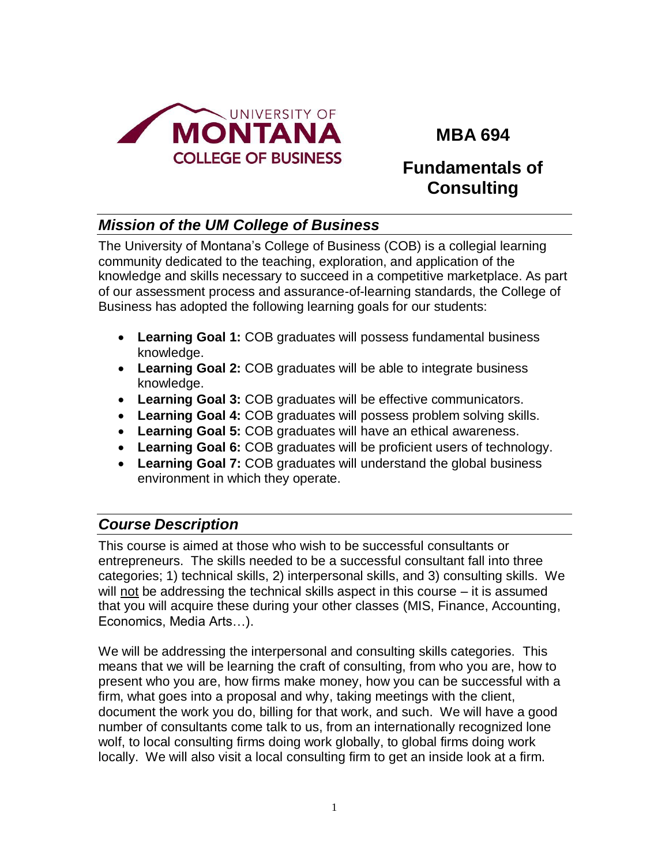

# **MBA 694**

# **Fundamentals of Consulting**

# *Mission of the UM College of Business*

The University of Montana's College of Business (COB) is a collegial learning community dedicated to the teaching, exploration, and application of the knowledge and skills necessary to succeed in a competitive marketplace. As part of our assessment process and assurance-of-learning standards, the College of Business has adopted the following learning goals for our students:

- **Learning Goal 1:** COB graduates will possess fundamental business knowledge.
- **Learning Goal 2:** COB graduates will be able to integrate business knowledge.
- **Learning Goal 3:** COB graduates will be effective communicators.
- **Learning Goal 4:** COB graduates will possess problem solving skills.
- **Learning Goal 5:** COB graduates will have an ethical awareness.
- **Learning Goal 6:** COB graduates will be proficient users of technology.
- **Learning Goal 7:** COB graduates will understand the global business environment in which they operate.

# *Course Description*

This course is aimed at those who wish to be successful consultants or entrepreneurs. The skills needed to be a successful consultant fall into three categories; 1) technical skills, 2) interpersonal skills, and 3) consulting skills. We will not be addressing the technical skills aspect in this course – it is assumed that you will acquire these during your other classes (MIS, Finance, Accounting, Economics, Media Arts…).

We will be addressing the interpersonal and consulting skills categories. This means that we will be learning the craft of consulting, from who you are, how to present who you are, how firms make money, how you can be successful with a firm, what goes into a proposal and why, taking meetings with the client, document the work you do, billing for that work, and such. We will have a good number of consultants come talk to us, from an internationally recognized lone wolf, to local consulting firms doing work globally, to global firms doing work locally. We will also visit a local consulting firm to get an inside look at a firm.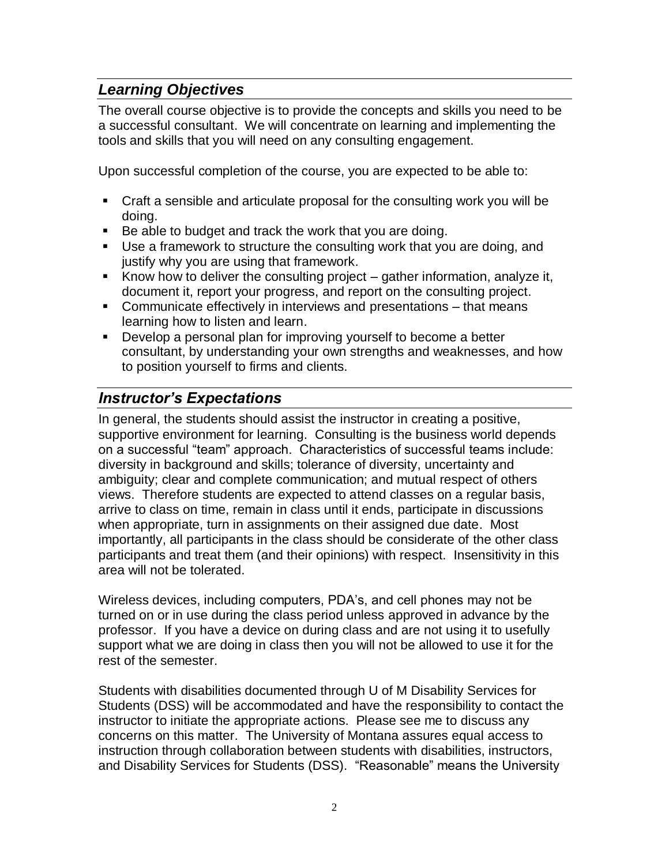# *Learning Objectives*

The overall course objective is to provide the concepts and skills you need to be a successful consultant. We will concentrate on learning and implementing the tools and skills that you will need on any consulting engagement.

Upon successful completion of the course, you are expected to be able to:

- Craft a sensible and articulate proposal for the consulting work you will be doing.
- Be able to budget and track the work that you are doing.
- Use a framework to structure the consulting work that you are doing, and justify why you are using that framework.
- Know how to deliver the consulting project gather information, analyze it, document it, report your progress, and report on the consulting project.
- Communicate effectively in interviews and presentations that means learning how to listen and learn.
- Develop a personal plan for improving yourself to become a better consultant, by understanding your own strengths and weaknesses, and how to position yourself to firms and clients.

# *Instructor's Expectations*

In general, the students should assist the instructor in creating a positive, supportive environment for learning. Consulting is the business world depends on a successful "team" approach. Characteristics of successful teams include: diversity in background and skills; tolerance of diversity, uncertainty and ambiguity; clear and complete communication; and mutual respect of others views. Therefore students are expected to attend classes on a regular basis, arrive to class on time, remain in class until it ends, participate in discussions when appropriate, turn in assignments on their assigned due date. Most importantly, all participants in the class should be considerate of the other class participants and treat them (and their opinions) with respect. Insensitivity in this area will not be tolerated.

Wireless devices, including computers, PDA's, and cell phones may not be turned on or in use during the class period unless approved in advance by the professor. If you have a device on during class and are not using it to usefully support what we are doing in class then you will not be allowed to use it for the rest of the semester.

Students with disabilities documented through U of M Disability Services for Students (DSS) will be accommodated and have the responsibility to contact the instructor to initiate the appropriate actions. Please see me to discuss any concerns on this matter. The University of Montana assures equal access to instruction through collaboration between students with disabilities, instructors, and Disability Services for Students (DSS). "Reasonable" means the University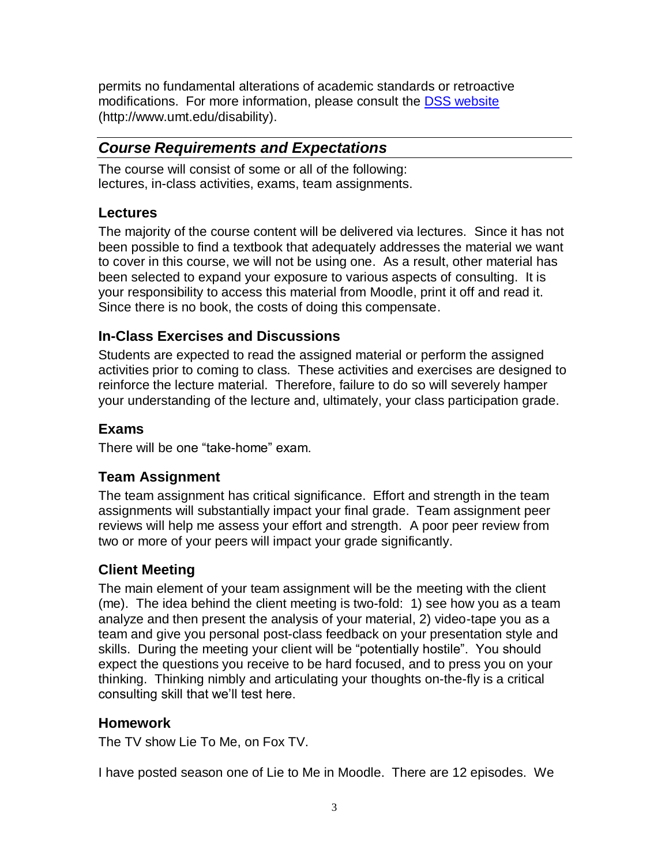permits no fundamental alterations of academic standards or retroactive modifications. For more information, please consult the [DSS website](http://www.umt.edu/disability) (http://www.umt.edu/disability).

# *Course Requirements and Expectations*

The course will consist of some or all of the following: lectures, in-class activities, exams, team assignments.

#### **Lectures**

The majority of the course content will be delivered via lectures. Since it has not been possible to find a textbook that adequately addresses the material we want to cover in this course, we will not be using one. As a result, other material has been selected to expand your exposure to various aspects of consulting. It is your responsibility to access this material from Moodle, print it off and read it. Since there is no book, the costs of doing this compensate.

## **In-Class Exercises and Discussions**

Students are expected to read the assigned material or perform the assigned activities prior to coming to class. These activities and exercises are designed to reinforce the lecture material. Therefore, failure to do so will severely hamper your understanding of the lecture and, ultimately, your class participation grade.

### **Exams**

There will be one "take-home" exam.

### **Team Assignment**

The team assignment has critical significance. Effort and strength in the team assignments will substantially impact your final grade. Team assignment peer reviews will help me assess your effort and strength. A poor peer review from two or more of your peers will impact your grade significantly.

### **Client Meeting**

The main element of your team assignment will be the meeting with the client (me). The idea behind the client meeting is two-fold: 1) see how you as a team analyze and then present the analysis of your material, 2) video-tape you as a team and give you personal post-class feedback on your presentation style and skills. During the meeting your client will be "potentially hostile". You should expect the questions you receive to be hard focused, and to press you on your thinking. Thinking nimbly and articulating your thoughts on-the-fly is a critical consulting skill that we'll test here.

#### **Homework**

The TV show Lie To Me, on Fox TV.

I have posted season one of Lie to Me in Moodle. There are 12 episodes. We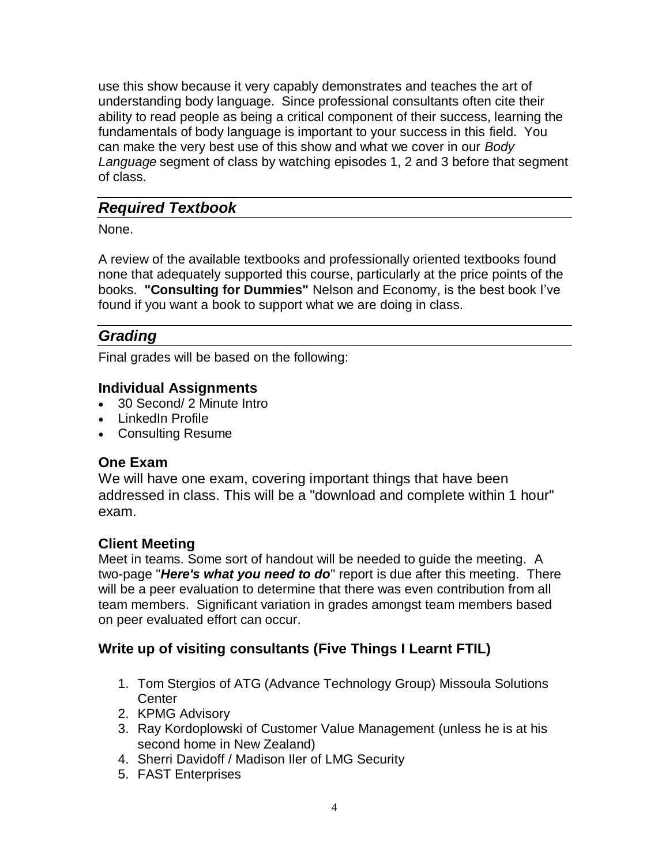use this show because it very capably demonstrates and teaches the art of understanding body language. Since professional consultants often cite their ability to read people as being a critical component of their success, learning the fundamentals of body language is important to your success in this field. You can make the very best use of this show and what we cover in our *Body Language* segment of class by watching episodes 1, 2 and 3 before that segment of class.

# *Required Textbook*

None.

A review of the available textbooks and professionally oriented textbooks found none that adequately supported this course, particularly at the price points of the books. **"Consulting for Dummies"** Nelson and Economy, is the best book I've found if you want a book to support what we are doing in class.

# *Grading*

Final grades will be based on the following:

### **Individual Assignments**

- 30 Second/ 2 Minute Intro
- LinkedIn Profile
- Consulting Resume

### **One Exam**

We will have one exam, covering important things that have been addressed in class. This will be a "download and complete within 1 hour" exam.

### **Client Meeting**

Meet in teams. Some sort of handout will be needed to guide the meeting. A two-page "*Here's what you need to do*" report is due after this meeting. There will be a peer evaluation to determine that there was even contribution from all team members. Significant variation in grades amongst team members based on peer evaluated effort can occur.

# **Write up of visiting consultants (Five Things I Learnt FTIL)**

- 1. Tom Stergios of ATG (Advance Technology Group) Missoula Solutions **Center**
- 2. KPMG Advisory
- 3. Ray Kordoplowski of Customer Value Management (unless he is at his second home in New Zealand)
- 4. Sherri Davidoff / Madison Iler of LMG Security
- 5. FAST Enterprises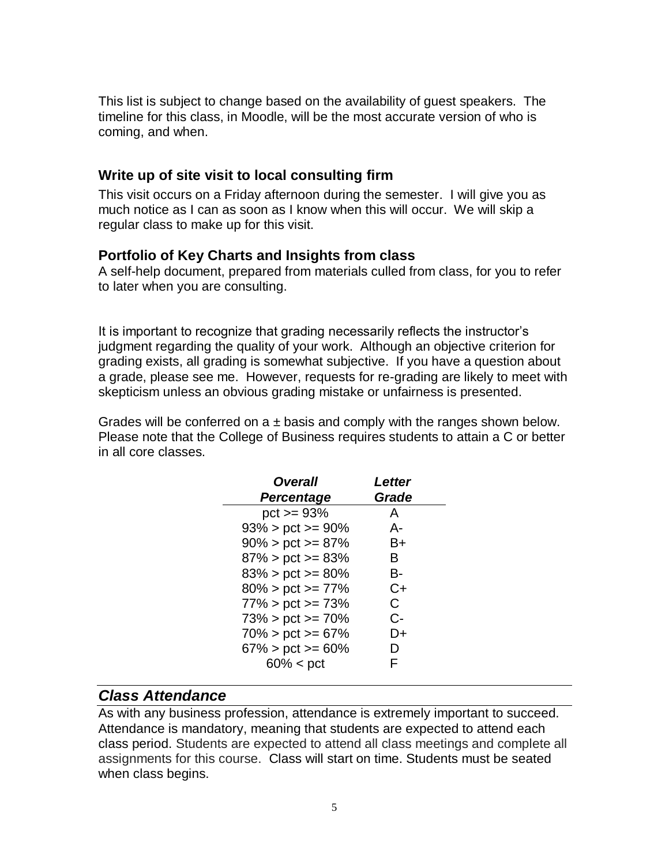This list is subject to change based on the availability of guest speakers. The timeline for this class, in Moodle, will be the most accurate version of who is coming, and when.

#### **Write up of site visit to local consulting firm**

This visit occurs on a Friday afternoon during the semester. I will give you as much notice as I can as soon as I know when this will occur. We will skip a regular class to make up for this visit.

#### **Portfolio of Key Charts and Insights from class**

A self-help document, prepared from materials culled from class, for you to refer to later when you are consulting.

It is important to recognize that grading necessarily reflects the instructor's judgment regarding the quality of your work. Although an objective criterion for grading exists, all grading is somewhat subjective. If you have a question about a grade, please see me. However, requests for re-grading are likely to meet with skepticism unless an obvious grading mistake or unfairness is presented.

Grades will be conferred on  $a \pm b$  as and comply with the ranges shown below. Please note that the College of Business requires students to attain a C or better in all core classes.

| <b>Overall</b>         | Letter |
|------------------------|--------|
| <b>Percentage</b>      | Grade  |
| $pct = 93%$            | A      |
| $93\%$ > pct >= 90%    | А-     |
| $90\%$ > pct >= 87%    | B+     |
| $87\%$ > pct >= 83%    | в      |
| $83\%$ > pct >= 80%    | В-     |
| $80\%$ > pct >= 77%    | C+     |
| $77\%$ > pct >= 73%    | C      |
| $73\%$ > pct >= $70\%$ | $C-$   |
| $70\%$ > pct >= 67%    | D+     |
| $67\%$ > pct >= 60%    | D      |
| $60\% < \text{pct}$    | F      |

#### *Class Attendance*

As with any business profession, attendance is extremely important to succeed. Attendance is mandatory, meaning that students are expected to attend each class period. Students are expected to attend all class meetings and complete all assignments for this course. Class will start on time. Students must be seated when class begins.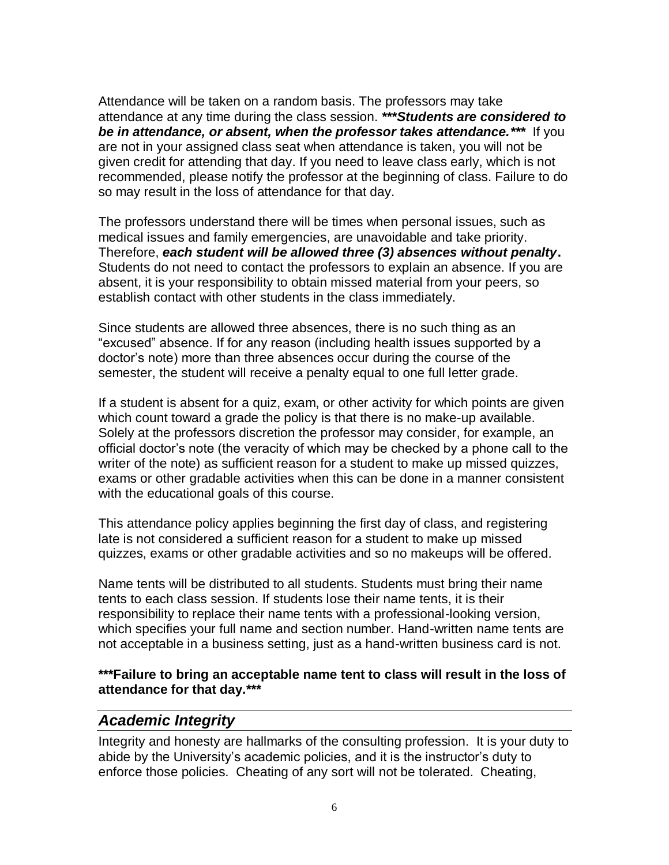Attendance will be taken on a random basis. The professors may take attendance at any time during the class session. **\*\*\****Students are considered to be in attendance, or absent, when the professor takes attendance.\*\*\** If you are not in your assigned class seat when attendance is taken, you will not be given credit for attending that day. If you need to leave class early, which is not recommended, please notify the professor at the beginning of class. Failure to do so may result in the loss of attendance for that day.

The professors understand there will be times when personal issues, such as medical issues and family emergencies, are unavoidable and take priority. Therefore, *each student will be allowed three (3) absences without penalty***.**  Students do not need to contact the professors to explain an absence. If you are absent, it is your responsibility to obtain missed material from your peers, so establish contact with other students in the class immediately.

Since students are allowed three absences, there is no such thing as an "excused" absence. If for any reason (including health issues supported by a doctor's note) more than three absences occur during the course of the semester, the student will receive a penalty equal to one full letter grade.

If a student is absent for a quiz, exam, or other activity for which points are given which count toward a grade the policy is that there is no make-up available. Solely at the professors discretion the professor may consider, for example, an official doctor's note (the veracity of which may be checked by a phone call to the writer of the note) as sufficient reason for a student to make up missed quizzes, exams or other gradable activities when this can be done in a manner consistent with the educational goals of this course.

This attendance policy applies beginning the first day of class, and registering late is not considered a sufficient reason for a student to make up missed quizzes, exams or other gradable activities and so no makeups will be offered.

Name tents will be distributed to all students. Students must bring their name tents to each class session. If students lose their name tents, it is their responsibility to replace their name tents with a professional-looking version, which specifies your full name and section number. Hand-written name tents are not acceptable in a business setting, just as a hand-written business card is not.

**\*\*\*Failure to bring an acceptable name tent to class will result in the loss of attendance for that day.\*\*\***

### *Academic Integrity*

Integrity and honesty are hallmarks of the consulting profession. It is your duty to abide by the University's academic policies, and it is the instructor's duty to enforce those policies. Cheating of any sort will not be tolerated. Cheating,